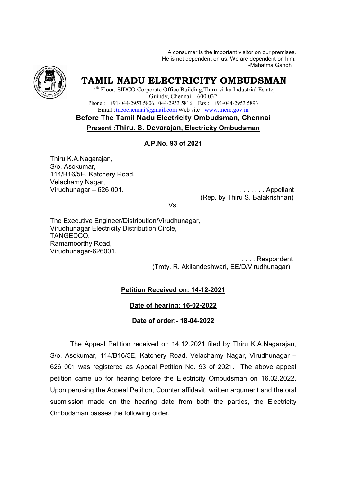A consumer is the important visitor on our premises. He is not dependent on us. We are dependent on him. -Mahatma Gandhi



# **TAMIL NADU ELECTRICITY OMBUDSMAN**

4<sup>th</sup> Floor, SIDCO Corporate Office Building, Thiru-vi-ka Industrial Estate, Phone :  $++91-044-29535806$ , 044-29535816 Fax :  $++91-044-29535893$ Email : theochennai@gmail.com Web site : www.tnerc.gov.in Guindy, Chennai – 600 032.

**Before The Tamil Nadu Electricity Ombudsman, Chennai Present :Thiru. S. Devarajan, Devarajan, Electricity Ombudsman**

# **A.P.No. 93 of 2021**

Thiru K.A.Nagarajan, S/o. Asokumar, 114/B16/5E, Katchery Road, Velachamy Nagar, Virudhunagar – 626 001

001. . . . . . . . Appellant (Rep. by Thiru S. Balakrishnan)

Vs.

The Executive Engineer/Distribution/Virudhunagar, Virudhunagar Electricity Distribution Circle, TANGEDCO, Ramamoorthy Road, Virudhunagar-626001.

> (Tmty. R. Akilandeshwari, EE/D/Virudhunagar) . . . . Respondent

### **Petition Received on: 14-12-2021**

### **Date of hearing: 16-02-2022**

### **Date of order:- 18-04-2022**

The Appeal Petition Petition received on 14.12.2021 filed by Thiru K.A.Nagarajan, S/o. Asokumar, 114/B16/5E, Katchery Road, Velachamy Nagar, Virudhunagar – 626 001 was registered as Appeal Petition No. 93 of 2021. The above appeal 626 001 was registered as Appeal Petition No. 93 of 2021. The above appeal<br>petition came up for hearing before the Electricity Ombudsman on 16.02.2022. Upon perusing the Appeal Petition, Counter affidavit, written argument and and the oral submission made on the hearing date from both the parties, the Electricity Ombudsman passes the following order. A Nagarajan.<br>  $\mu$  Sonstand Weis the important Matter on the meaning data for the matter of the studients. We are dependent on the  $4^{\circ}$  Floor, SIDCO Corporate Office Huiding Thire.vi-kin **halusmi** Ranki ( $\mu$  Floor, SI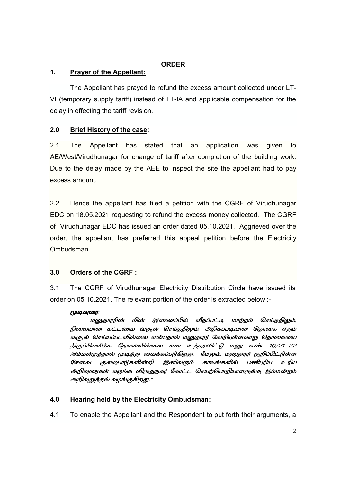# **ORDER**

# **1. Prayer of the Appellant:**

The Appellant has prayed to refund the excess amount collected under LT-VI (temporary supply tariff) instead of LT-IA and applicable compensation for the delay in effecting the tariff revision.

# **2.0 Brief History of the case:**

2.1 The Appellant has stated that an application was given to AE/West/Virudhunagar for change of tariff after completion of the building work. Due to the delay made by the AEE to inspect the site the appellant had to pay excess amount.

2.2 Hence the appellant has filed a petition with the CGRF of Virudhunagar EDC on 18.05.2021 requesting to refund the excess money collected. The CGRF of Virudhunagar EDC has issued an order dated 05.10.2021. Aggrieved over the order, the appellant has preferred this appeal petition before the Electricity Ombudsman.

# **3.0 Orders of the CGRF :**

3.1 The CGRF of Virudhunagar Electricity Distribution Circle have issued its order on 05.10.2021. The relevant portion of the order is extracted below :-

### <u>முடிவுரை:</u>

மனுதாரரின் மின் இணைப்பில் வீதப்பட்டி மாற்றம் செய்ததிலும், நிலையான கட்டணம் வசூல் செய்ததிலும், அதிகப்படியான தொகை ஏதும் வசூல் செய்யப்படவில்லை என்பதால் மனுதாரர் கோரியுள்ளவாறு தொகையை திருப்பியளிக்க தேவையில்லை என உத்தரவிட்டு மனு எண் 10/21–22 இம்மன்றத்தால் முடித்து வைக்கப்படுகிறது. மேலும், மனுதாரர் குறிப்பிட்டுள்ள சேவை குறைபாடுகளின்றி இனிவரும் காலங்களில் பணிபரிய உரிய அறிவுரைகள் வழங்க விருதுநகர் கோட்ட செயற்பொறியாளருக்கு இம்மன்றம் அறிவுறுத்தல் வழங்குகிறது."

# **4.0 Hearing held by the Electricity Ombudsman:**

4.1 To enable the Appellant and the Respondent to put forth their arguments, a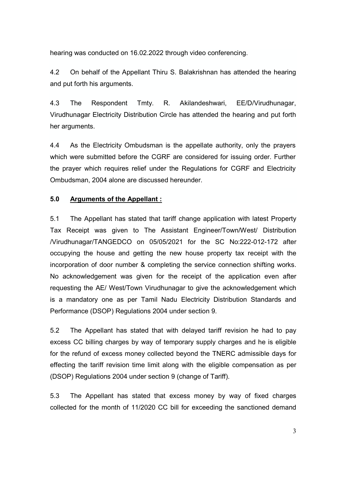hearing was conducted on 16.02.2022 through video conferencing.

4.2 On behalf of the Appellant Thiru S. Balakrishnan has attended the hearing and put forth his arguments.

4.3 The Respondent Tmty. R. Akilandeshwari, EE/D/Virudhunagar, Virudhunagar Electricity Distribution Circle has attended the hearing and put forth her arguments.

4.4 As the Electricity Ombudsman is the appellate authority, only the prayers which were submitted before the CGRF are considered for issuing order. Further the prayer which requires relief under the Regulations for CGRF and Electricity Ombudsman, 2004 alone are discussed hereunder.

### **5.0 Arguments of the Appellant :**

5.1 The Appellant has stated that tariff change application with latest Property Tax Receipt was given to The Assistant Engineer/Town/West/ Distribution /Virudhunagar/TANGEDCO on 05/05/2021 for the SC No:222-012-172 after occupying the house and getting the new house property tax receipt with the incorporation of door number & completing the service connection shifting works. No acknowledgement was given for the receipt of the application even after requesting the AE/ West/Town Virudhunagar to give the acknowledgement which is a mandatory one as per Tamil Nadu Electricity Distribution Standards and Performance (DSOP) Regulations 2004 under section 9.

5.2 The Appellant has stated that with delayed tariff revision he had to pay excess CC billing charges by way of temporary supply charges and he is eligible for the refund of excess money collected beyond the TNERC admissible days for effecting the tariff revision time limit along with the eligible compensation as per (DSOP) Regulations 2004 under section 9 (change of Tariff).

5.3 The Appellant has stated that excess money by way of fixed charges collected for the month of 11/2020 CC bill for exceeding the sanctioned demand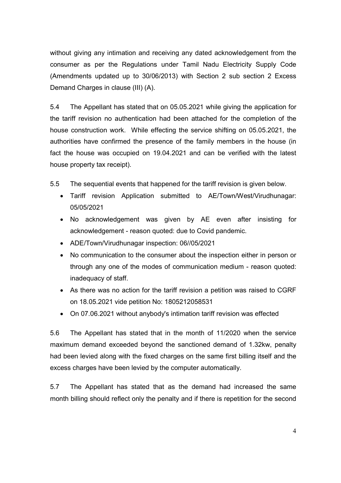without giving any intimation and receiving any dated acknowledgement from the consumer as per the Regulations under Tamil Nadu Electricity Supply Code (Amendments updated up to 30/06/2013) with Section 2 sub section 2 Excess Demand Charges in clause (III) (A).

5.4 The Appellant has stated that on 05.05.2021 while giving the application for the tariff revision no authentication had been attached for the completion of the house construction work. While effecting the service shifting on 05.05.2021, the authorities have confirmed the presence of the family members in the house (in fact the house was occupied on 19.04.2021 and can be verified with the latest house property tax receipt).

5.5 The sequential events that happened for the tariff revision is given below.

- Tariff revision Application submitted to AE/Town/West/Virudhunagar: 05/05/2021
- No acknowledgement was given by AE even after insisting for acknowledgement - reason quoted: due to Covid pandemic.
- ADE/Town/Virudhunagar inspection: 06//05/2021
- No communication to the consumer about the inspection either in person or through any one of the modes of communication medium - reason quoted: inadequacy of staff.
- As there was no action for the tariff revision a petition was raised to CGRF on 18.05.2021 vide petition No: 1805212058531
- On 07.06.2021 without anybody's intimation tariff revision was effected

5.6 The Appellant has stated that in the month of 11/2020 when the service maximum demand exceeded beyond the sanctioned demand of 1.32kw, penalty had been levied along with the fixed charges on the same first billing itself and the excess charges have been levied by the computer automatically.

5.7 The Appellant has stated that as the demand had increased the same month billing should reflect only the penalty and if there is repetition for the second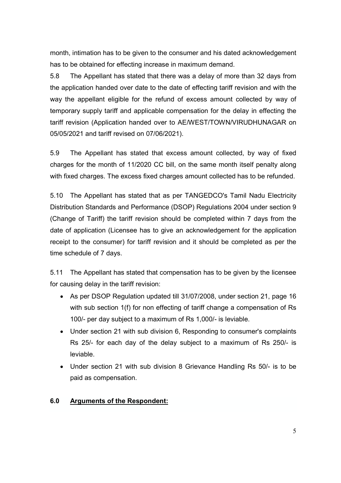month, intimation has to be given to the consumer and his dated acknowledgement has to be obtained for effecting increase in maximum demand.

5.8 The Appellant has stated that there was a delay of more than 32 days from the application handed over date to the date of effecting tariff revision and with the way the appellant eligible for the refund of excess amount collected by way of temporary supply tariff and applicable compensation for the delay in effecting the tariff revision (Application handed over to AE/WEST/TOWN/VIRUDHUNAGAR on 05/05/2021 and tariff revised on 07/06/2021).

5.9 The Appellant has stated that excess amount collected, by way of fixed charges for the month of 11/2020 CC bill, on the same month itself penalty along with fixed charges. The excess fixed charges amount collected has to be refunded.

5.10 The Appellant has stated that as per TANGEDCO's Tamil Nadu Electricity Distribution Standards and Performance (DSOP) Regulations 2004 under section 9 (Change of Tariff) the tariff revision should be completed within 7 days from the date of application (Licensee has to give an acknowledgement for the application receipt to the consumer) for tariff revision and it should be completed as per the time schedule of 7 days.

5.11 The Appellant has stated that compensation has to be given by the licensee for causing delay in the tariff revision:

- As per DSOP Regulation updated till 31/07/2008, under section 21, page 16 with sub section 1(f) for non effecting of tariff change a compensation of Rs 100/- per day subject to a maximum of Rs 1,000/- is leviable.
- Under section 21 with sub division 6, Responding to consumer's complaints Rs 25/- for each day of the delay subject to a maximum of Rs 250/- is leviable.
- Under section 21 with sub division 8 Grievance Handling Rs 50/- is to be paid as compensation.

### **6.0 Arguments of the Respondent:**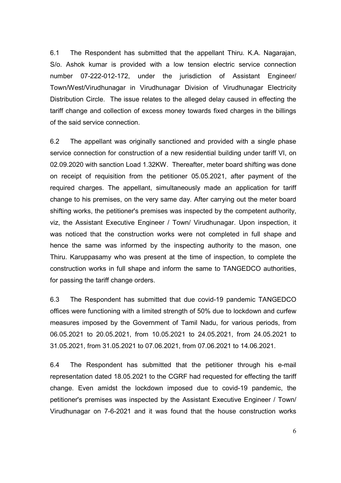6.1 The Respondent has submitted that the appellant Thiru. K.A. Nagarajan, S/o. Ashok kumar is provided with a low tension electric service connection number 07-222-012-172, under the jurisdiction of Assistant Engineer/ Town/West/Virudhunagar in Virudhunagar Division of Virudhunagar Electricity Distribution Circle. The issue relates to the alleged delay caused in effecting the tariff change and collection of excess money towards fixed charges in the billings of the said service connection.

6.2 The appellant was originally sanctioned and provided with a single phase service connection for construction of a new residential building under tariff VI, on 02.09.2020 with sanction Load 1.32KW. Thereafter, meter board shifting was done on receipt of requisition from the petitioner 05.05.2021, after payment of the required charges. The appellant, simultaneously made an application for tariff change to his premises, on the very same day. After carrying out the meter board shifting works, the petitioner's premises was inspected by the competent authority, viz, the Assistant Executive Engineer / Town/ Virudhunagar. Upon inspection, it was noticed that the construction works were not completed in full shape and hence the same was informed by the inspecting authority to the mason, one Thiru. Karuppasamy who was present at the time of inspection, to complete the construction works in full shape and inform the same to TANGEDCO authorities, for passing the tariff change orders.

6.3 The Respondent has submitted that due covid-19 pandemic TANGEDCO offices were functioning with a limited strength of 50% due to lockdown and curfew measures imposed by the Government of Tamil Nadu, for various periods, from 06.05.2021 to 20.05.2021, from 10.05.2021 to 24.05.2021, from 24.05.2021 to 31.05.2021, from 31.05.2021 to 07.06.2021, from 07.06.2021 to 14.06.2021.

6.4 The Respondent has submitted that the petitioner through his e-mail representation dated 18.05.2021 to the CGRF had requested for effecting the tariff change. Even amidst the lockdown imposed due to covid-19 pandemic, the petitioner's premises was inspected by the Assistant Executive Engineer / Town/ Virudhunagar on 7-6-2021 and it was found that the house construction works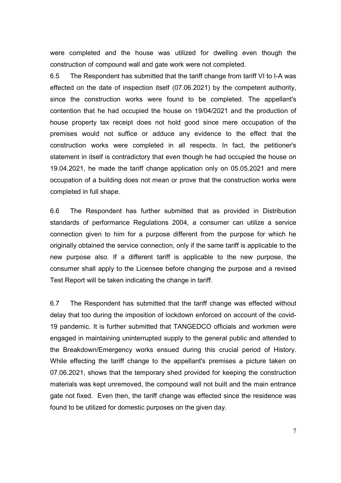were completed and the house was utilized for dwelling even though the construction of compound wall and gate work were not completed.

6.5 The Respondent has submitted that the tariff change from tariff VI to I-A was effected on the date of inspection itself (07.06.2021) by the competent authority, since the construction works were found to be completed. The appellant's contention that he had occupied the house on 19/04/2021 and the production of house property tax receipt does not hold good since mere occupation of the premises would not suffice or adduce any evidence to the effect that the construction works were completed in all respects. In fact, the petitioner's statement in itself is contradictory that even though he had occupied the house on 19.04.2021, he made the tariff change application only on 05.05.2021 and mere occupation of a building does not mean or prove that the construction works were completed in full shape.

6.6 The Respondent has further submitted that as provided in Distribution standards of performance Regulations 2004, a consumer can utilize a service connection given to him for a purpose different from the purpose for which he originally obtained the service connection, only if the same tariff is applicable to the new purpose also. If a different tariff is applicable to the new purpose, the consumer shall apply to the Licensee before changing the purpose and a revised Test Report will be taken indicating the change in tariff.

6.7 The Respondent has submitted that the tariff change was effected without delay that too during the imposition of lockdown enforced on account of the covid-19 pandemic. It is further submitted that TANGEDCO officials and workmen were engaged in maintaining uninterrupted supply to the general public and attended to the Breakdown/Emergency works ensued during this crucial period of History. While effecting the tariff change to the appellant's premises a picture taken on 07.06.2021, shows that the temporary shed provided for keeping the construction materials was kept unremoved, the compound wall not built and the main entrance gate not fixed. Even then, the tariff change was effected since the residence was found to be utilized for domestic purposes on the given day.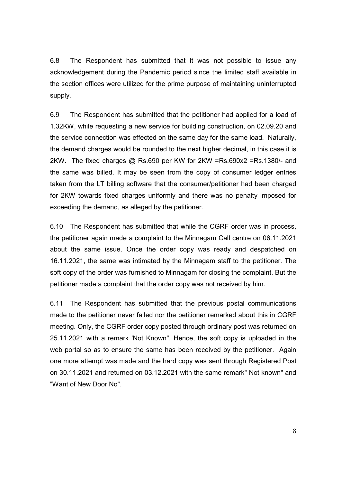6.8 The Respondent has submitted that it was not possible to issue any acknowledgement during the Pandemic period since the limited staff available in the section offices were utilized for the prime purpose of maintaining uninterrupted supply.

6.9 The Respondent has submitted that the petitioner had applied for a load of 1.32KW, while requesting a new service for building construction, on 02.09.20 and the service connection was effected on the same day for the same load. Naturally, the demand charges would be rounded to the next higher decimal, in this case it is 2KW. The fixed charges @ Rs.690 per KW for 2KW =Rs.690x2 =Rs.1380/- and the same was billed. It may be seen from the copy of consumer ledger entries taken from the LT billing software that the consumer/petitioner had been charged for 2KW towards fixed charges uniformly and there was no penalty imposed for exceeding the demand, as alleged by the petitioner.

6.10 The Respondent has submitted that while the CGRF order was in process, the petitioner again made a complaint to the Minnagam Call centre on 06.11.2021 about the same issue. Once the order copy was ready and despatched on 16.11.2021, the same was intimated by the Minnagam staff to the petitioner. The soft copy of the order was furnished to Minnagam for closing the complaint. But the petitioner made a complaint that the order copy was not received by him.

6.11 The Respondent has submitted that the previous postal communications made to the petitioner never failed nor the petitioner remarked about this in CGRF meeting. Only, the CGRF order copy posted through ordinary post was returned on 25.11.2021 with a remark 'Not Known". Hence, the soft copy is uploaded in the web portal so as to ensure the same has been received by the petitioner. Again one more attempt was made and the hard copy was sent through Registered Post on 30.11.2021 and returned on 03.12.2021 with the same remark" Not known" and "Want of New Door No".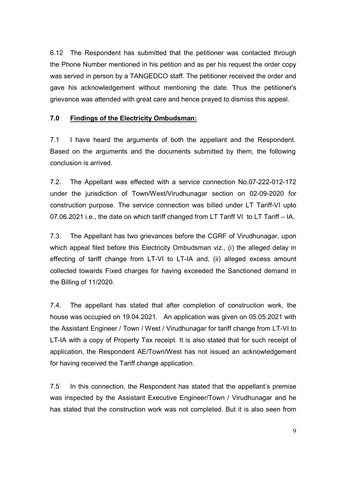6.12 The Respondent has submitted that the petitioner was contacted through the Phone Number mentioned in his petition and as per his request the order copy was served in person by a TANGEDCO staff. The petitioner received the order and gave his acknowledgement without mentioning the date. Thus the petitioner's grievance was attended with great care and hence prayed to dismiss this appeal.

### **7.0 Findings of the Electricity Ombudsman:**

7.1 I have heard the arguments of both the appellant and the Respondent. Based on the arguments and the documents submitted by them, the following conclusion is arrived.

7.2. The Appellant was effected with a service connection No.07-222-012-172 under the jurisdiction of Town/West/Virudhunagar section on 02-09-2020 for construction purpose. The service connection was billed under LT Tariff-VI upto 07.06.2021 i.e., the date on which tariff changed from LT Tariff VI to LT Tariff – IA.

7.3. The Appellant has two grievances before the CGRF of Virudhunagar, upon which appeal filed before this Electricity Ombudsman viz., (i) the alleged delay in effecting of tariff change from LT-VI to LT-IA and, (ii) alleged excess amount collected towards Fixed charges for having exceeded the Sanctioned demand in the Billing of 11/2020.

7.4. The appellant has stated that after completion of construction work, the house was occupied on 19.04.2021. An application was given on 05.05.2021 with the Assistant Engineer / Town / West / Virudhunagar for tariff change from LT-VI to LT-IA with a copy of Property Tax receipt. It is also stated that for such receipt of application, the Respondent AE/Town/West has not issued an acknowledgement for having received the Tariff change application.

7.5 In this connection, the Respondent has stated that the appellant's premise was inspected by the Assistant Executive Engineer/Town / Virudhunagar and he has stated that the construction work was not completed. But it is also seen from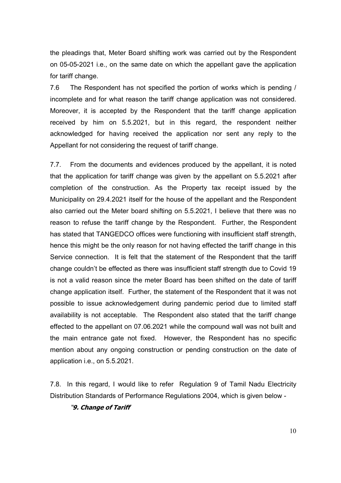the pleadings that, Meter Board shifting work was carried out by the Respondent on 05-05-2021 i.e., on the same date on which the appellant gave the application for tariff change.

7.6 The Respondent has not specified the portion of works which is pending / incomplete and for what reason the tariff change application was not considered. Moreover, it is accepted by the Respondent that the tariff change application received by him on 5.5.2021, but in this regard, the respondent neither acknowledged for having received the application nor sent any reply to the Appellant for not considering the request of tariff change.

7.7. From the documents and evidences produced by the appellant, it is noted that the application for tariff change was given by the appellant on 5.5.2021 after completion of the construction. As the Property tax receipt issued by the Municipality on 29.4.2021 itself for the house of the appellant and the Respondent also carried out the Meter board shifting on 5.5.2021, I believe that there was no reason to refuse the tariff change by the Respondent. Further, the Respondent has stated that TANGEDCO offices were functioning with insufficient staff strength, hence this might be the only reason for not having effected the tariff change in this Service connection. It is felt that the statement of the Respondent that the tariff change couldn't be effected as there was insufficient staff strength due to Covid 19 is not a valid reason since the meter Board has been shifted on the date of tariff change application itself. Further, the statement of the Respondent that it was not possible to issue acknowledgement during pandemic period due to limited staff availability is not acceptable. The Respondent also stated that the tariff change effected to the appellant on 07.06.2021 while the compound wall was not built and the main entrance gate not fixed. However, the Respondent has no specific mention about any ongoing construction or pending construction on the date of application i.e., on 5.5.2021.

7.8. In this regard, I would like to refer Regulation 9 of Tamil Nadu Electricity Distribution Standards of Performance Regulations 2004, which is given below -

"**9. Change of Tariff**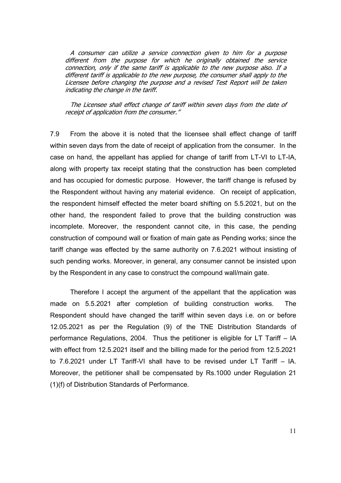A consumer can utilize a service connection given to him for a purpose different from the purpose for which he originally obtained the service connection, only if the same tariff is applicable to the new purpose also. If a different tariff is applicable to the new purpose, the consumer shall apply to the Licensee before changing the purpose and a revised Test Report will be taken indicating the change in the tariff.

The Licensee shall effect change of tariff within seven days from the date of receipt of application from the consumer."

7.9 From the above it is noted that the licensee shall effect change of tariff within seven days from the date of receipt of application from the consumer. In the case on hand, the appellant has applied for change of tariff from LT-VI to LT-IA, along with property tax receipt stating that the construction has been completed and has occupied for domestic purpose. However, the tariff change is refused by the Respondent without having any material evidence. On receipt of application, the respondent himself effected the meter board shifting on 5.5.2021, but on the other hand, the respondent failed to prove that the building construction was incomplete. Moreover, the respondent cannot cite, in this case, the pending construction of compound wall or fixation of main gate as Pending works; since the tariff change was effected by the same authority on 7.6.2021 without insisting of such pending works. Moreover, in general, any consumer cannot be insisted upon by the Respondent in any case to construct the compound wall/main gate.

Therefore I accept the argument of the appellant that the application was made on 5.5.2021 after completion of building construction works. The Respondent should have changed the tariff within seven days i.e. on or before 12.05.2021 as per the Regulation (9) of the TNE Distribution Standards of performance Regulations, 2004. Thus the petitioner is eligible for LT Tariff – IA with effect from 12.5.2021 itself and the billing made for the period from 12.5.2021 to 7.6.2021 under LT Tariff-VI shall have to be revised under LT Tariff – IA. Moreover, the petitioner shall be compensated by Rs.1000 under Regulation 21 (1)(f) of Distribution Standards of Performance.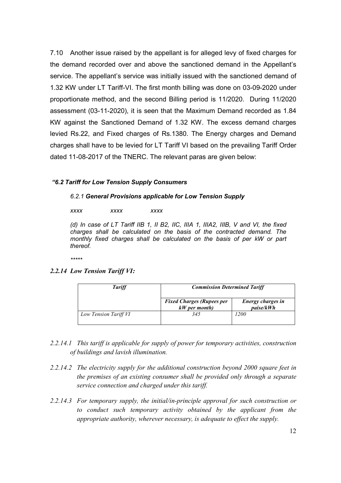7.10 Another issue raised by the appellant is for alleged levy of fixed charges for the demand recorded over and above the sanctioned demand in the Appellant's service. The appellant's service was initially issued with the sanctioned demand of 1.32 KW under LT Tariff-VI. The first month billing was done on 03-09-2020 under proportionate method, and the second Billing period is 11/2020. During 11/2020 assessment (03-11-2020), it is seen that the Maximum Demand recorded as 1.84 KW against the Sanctioned Demand of 1.32 KW. The excess demand charges levied Rs.22, and Fixed charges of Rs.1380. The Energy charges and Demand charges shall have to be levied for LT Tariff VI based on the prevailing Tariff Order dated 11-08-2017 of the TNERC. The relevant paras are given below:

### *"6.2 Tariff for Low Tension Supply Consumers*

### *6.2.1 General Provisions applicable for Low Tension Supply*

 *xxxx xxxx xxxx* 

*(d) In case of LT Tariff IIB 1, II B2, IIC, IIIA 1, IIIA2, IIIB, V and VI, the fixed charges shall be calculated on the basis of the contracted demand. The*  monthly fixed charges shall be calculated on the basis of per kW or part *thereof.* 

*\*\*\*\*\**

### *2.2.14 Low Tension Tariff VI:*

| <b>Tariff</b>         | <b>Commission Determined Tariff</b>                 |                                |
|-----------------------|-----------------------------------------------------|--------------------------------|
|                       | <b>Fixed Charges (Rupees per</b><br>$kW$ per month) | Energy charges in<br>paise/kWh |
| Low Tension Tariff VI | 345                                                 | 1200                           |

- *2.2.14.1 This tariff is applicable for supply of power for temporary activities, construction of buildings and lavish illumination.*
- *2.2.14.2 The electricity supply for the additional construction beyond 2000 square feet in the premises of an existing consumer shall be provided only through a separate service connection and charged under this tariff.*
- *2.2.14.3 For temporary supply, the initial/in-principle approval for such construction or to conduct such temporary activity obtained by the applicant from the appropriate authority, wherever necessary, is adequate to effect the supply.*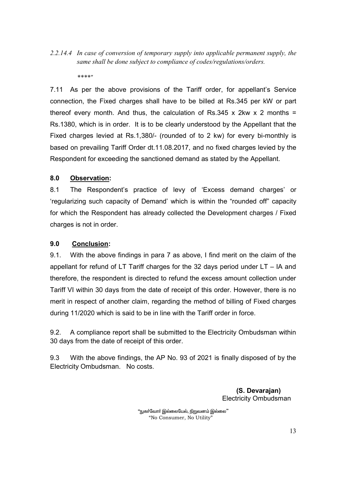# *2.2.14.4 In case of conversion of temporary supply into applicable permanent supply, the same shall be done subject to compliance of codes/regulations/orders.*

*\*\*\*\*"*

7.11 As per the above provisions of the Tariff order, for appellant's Service connection, the Fixed charges shall have to be billed at Rs.345 per kW or part thereof every month. And thus, the calculation of Rs.345 x 2kw x 2 months = Rs.1380, which is in order. It is to be clearly understood by the Appellant that the Fixed charges levied at Rs.1,380/- (rounded of to 2 kw) for every bi-monthly is based on prevailing Tariff Order dt.11.08.2017, and no fixed charges levied by the Respondent for exceeding the sanctioned demand as stated by the Appellant.

# **8.0 Observation:**

8.1 The Respondent's practice of levy of 'Excess demand charges' or 'regularizing such capacity of Demand' which is within the "rounded off" capacity for which the Respondent has already collected the Development charges / Fixed charges is not in order.

# **9.0 Conclusion:**

9.1. With the above findings in para 7 as above, I find merit on the claim of the appellant for refund of LT Tariff charges for the 32 days period under LT – IA and therefore, the respondent is directed to refund the excess amount collection under Tariff VI within 30 days from the date of receipt of this order. However, there is no merit in respect of another claim, regarding the method of billing of Fixed charges during 11/2020 which is said to be in line with the Tariff order in force.

9.2. A compliance report shall be submitted to the Electricity Ombudsman within 30 days from the date of receipt of this order.

9.3 With the above findings, the AP No. 93 of 2021 is finally disposed of by the Electricity Ombudsman. No costs.

> **(S. Devarajan)**  Electricity Ombudsman

"நுகா்வோா் இல்லையேல், நிறுவனம் இல்லை" "No Consumer, No Utility"